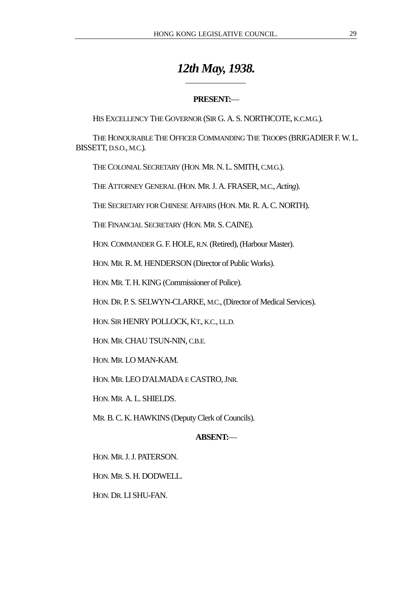# *12th May, 1938.*

# **PRESENT:**—

HIS EXCELLENCY THE GOVERNOR (SIR G. A. S. NORTHCOTE, K.C.M.G.).

THE HONOURABLE THE OFFICER COMMANDING THE TROOPS (BRIGADIER F. W. L. BISSETT, D.S.O., M.C.).

THE COLONIAL SECRETARY (HON. MR. N. L. SMITH, C.M.G.).

 $\overline{a}$ 

THE ATTORNEY GENERAL (HON. MR. J. A. FRASER, M.C., *Acting*).

THE SECRETARY FOR CHINESE AFFAIRS (HON. MR. R. A. C. NORTH).

THE FINANCIAL SECRETARY (HON. MR. S. CAINE).

HON. COMMANDER G. F. HOLE, R.N. (Retired), (Harbour Master).

HON. MR. R. M. HENDERSON (Director of Public Works).

HON. MR. T. H. KING (Commissioner of Police).

HON. DR. P. S. SELWYN-CLARKE, M.C., (Director of Medical Services).

HON. SIR HENRY POLLOCK, KT., K.C., LL.D.

HON. MR. CHAU TSUN-NIN, C.B.E.

HON. MR. LO MAN-KAM.

HON. MR. LEO D'ALMADA E CASTRO, JNR.

HON. MR. A. L. SHIELDS.

MR. B. C. K. HAWKINS (Deputy Clerk of Councils).

# **ABSENT:**—

HON. MR. J. J. PATERSON.

HON. MR. S. H. DODWELL.

HON. DR. LI SHU-FAN.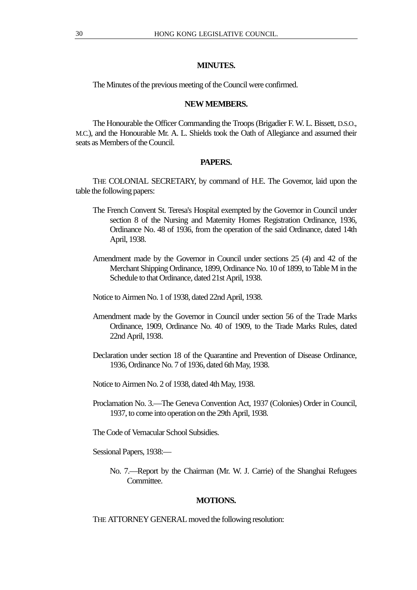# **MINUTES.**

The Minutes of the previous meeting of the Council were confirmed.

## **NEW MEMBERS.**

The Honourable the Officer Commanding the Troops (Brigadier F. W. L. Bissett, D.S.O., M.C.), and the Honourable Mr. A. L. Shields took the Oath of Allegiance and assumed their seats as Members of the Council.

# **PAPERS.**

THE COLONIAL SECRETARY, by command of H.E. The Governor, laid upon the table the following papers:

- The French Convent St. Teresa's Hospital exempted by the Governor in Council under section 8 of the Nursing and Maternity Homes Registration Ordinance, 1936, Ordinance No. 48 of 1936, from the operation of the said Ordinance, dated 14th April, 1938.
- Amendment made by the Governor in Council under sections 25 (4) and 42 of the Merchant Shipping Ordinance, 1899, Ordinance No. 10 of 1899, to Table M in the Schedule to that Ordinance, dated 21st April, 1938.
- Notice to Airmen No. 1 of 1938, dated 22nd April, 1938.
- Amendment made by the Governor in Council under section 56 of the Trade Marks Ordinance, 1909, Ordinance No. 40 of 1909, to the Trade Marks Rules, dated 22nd April, 1938.
- Declaration under section 18 of the Quarantine and Prevention of Disease Ordinance, 1936, Ordinance No. 7 of 1936, dated 6th May, 1938.
- Notice to Airmen No. 2 of 1938, dated 4th May, 1938.
- Proclamation No. 3.—The Geneva Convention Act, 1937 (Colonies) Order in Council, 1937, to come into operation on the 29th April, 1938.
- The Code of Vernacular School Subsidies.

Sessional Papers, 1938:—

No. 7.—Report by the Chairman (Mr. W. J. Carrie) of the Shanghai Refugees Committee.

# **MOTIONS.**

THE ATTORNEY GENERAL moved the following resolution: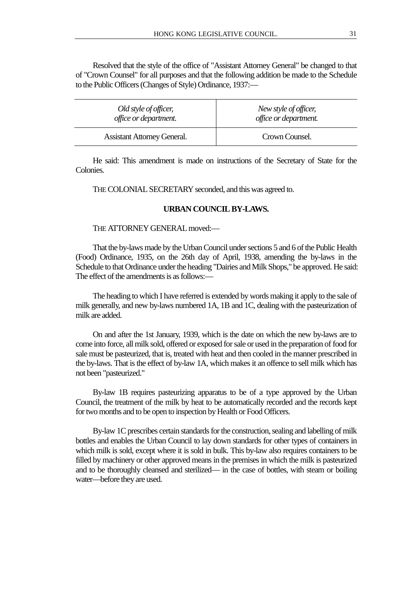Resolved that the style of the office of "Assistant Attorney General" be changed to that of "Crown Counsel" for all purposes and that the following addition be made to the Schedule to the Public Officers (Changes of Style) Ordinance, 1937:—

| Old style of officer,              | New style of officer, |
|------------------------------------|-----------------------|
| office or department.              | office or department. |
| <b>Assistant Attorney General.</b> | Crown Counsel.        |

He said: This amendment is made on instructions of the Secretary of State for the Colonies.

THE COLONIAL SECRETARY seconded, and this was agreed to.

## **URBAN COUNCIL BY-LAWS.**

#### THE ATTORNEY GENERAL moved:—

That the by-laws made by the Urban Council under sections 5 and 6 of the Public Health (Food) Ordinance, 1935, on the 26th day of April, 1938, amending the by-laws in the Schedule to that Ordinance under the heading "Dairies and Milk Shops," be approved. He said: The effect of the amendments is as follows:—

The heading to which I have referred is extended by words making it apply to the sale of milk generally, and new by-laws numbered 1A, 1B and 1C, dealing with the pasteurization of milk are added.

On and after the 1st January, 1939, which is the date on which the new by-laws are to come into force, all milk sold, offered or exposed for sale or used in the preparation of food for sale must be pasteurized, that is, treated with heat and then cooled in the manner prescribed in the by-laws. That is the effect of by-law 1A, which makes it an offence to sell milk which has not been "pasteurized."

By-law 1B requires pasteurizing apparatus to be of a type approved by the Urban Council, the treatment of the milk by heat to be automatically recorded and the records kept for two months and to be open to inspection by Health or Food Officers.

By-law 1C prescribes certain standards for the construction, sealing and labelling of milk bottles and enables the Urban Council to lay down standards for other types of containers in which milk is sold, except where it is sold in bulk. This by-law also requires containers to be filled by machinery or other approved means in the premises in which the milk is pasteurized and to be thoroughly cleansed and sterilized— in the case of bottles, with steam or boiling water—before they are used.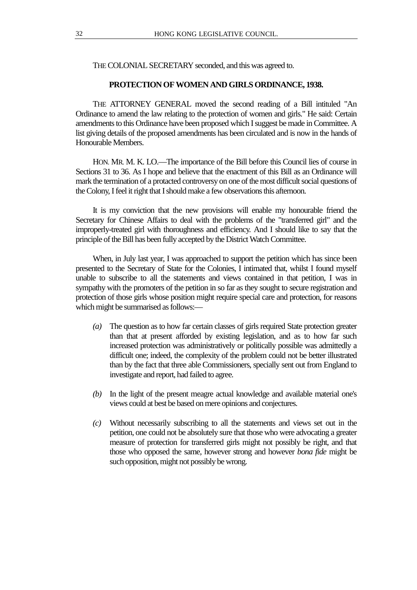THE COLONIAL SECRETARY seconded, and this was agreed to.

# **PROTECTION OF WOMEN AND GIRLS ORDINANCE, 1938.**

THE ATTORNEY GENERAL moved the second reading of a Bill intituled "An Ordinance to amend the law relating to the protection of women and girls." He said: Certain amendments to this Ordinance have been proposed which I suggest be made in Committee. A list giving details of the proposed amendments has been circulated and is now in the hands of Honourable Members.

HON. MR. M. K. LO.—The importance of the Bill before this Council lies of course in Sections 31 to 36. As I hope and believe that the enactment of this Bill as an Ordinance will mark the termination of a protacted controversy on one of the most difficult social questions of the Colony, I feel it right that I should make a few observations this afternoon.

It is my conviction that the new provisions will enable my honourable friend the Secretary for Chinese Affairs to deal with the problems of the "transferred girl" and the improperly-treated girl with thoroughness and efficiency. And I should like to say that the principle of the Bill has been fully accepted by the District Watch Committee.

When, in July last year, I was approached to support the petition which has since been presented to the Secretary of State for the Colonies, I intimated that, whilst I found myself unable to subscribe to all the statements and views contained in that petition, I was in sympathy with the promoters of the petition in so far as they sought to secure registration and protection of those girls whose position might require special care and protection, for reasons which might be summarised as follows:—

- *(a)* The question as to how far certain classes of girls required State protection greater than that at present afforded by existing legislation, and as to how far such increased protection was administratively or politically possible was admittedly a difficult one; indeed, the complexity of the problem could not be better illustrated than by the fact that three able Commissioners, specially sent out from England to investigate and report, had failed to agree.
- *(b)* In the light of the present meagre actual knowledge and available material one's views could at best be based on mere opinions and conjectures.
- *(c)* Without necessarily subscribing to all the statements and views set out in the petition, one could not be absolutely sure that those who were advocating a greater measure of protection for transferred girls might not possibly be right, and that those who opposed the same, however strong and however *bona fide* might be such opposition, might not possibly be wrong.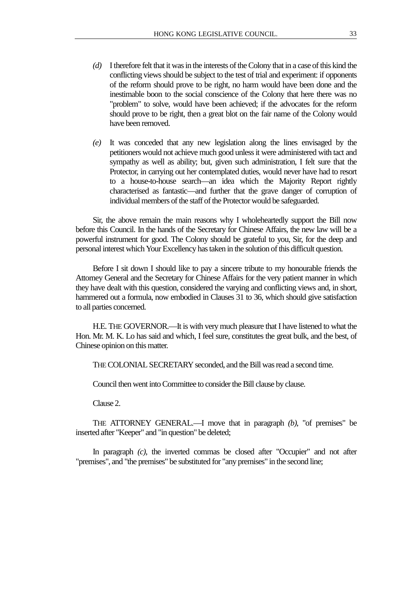- *(d)* I therefore felt that it was in the interests of the Colony that in a case of this kind the conflicting views should be subject to the test of trial and experiment: if opponents of the reform should prove to be right, no harm would have been done and the inestimable boon to the social conscience of the Colony that here there was no "problem" to solve, would have been achieved; if the advocates for the reform should prove to be right, then a great blot on the fair name of the Colony would have been removed.
- *(e)* It was conceded that any new legislation along the lines envisaged by the petitioners would not achieve much good unless it were administered with tact and sympathy as well as ability; but, given such administration, I felt sure that the Protector, in carrying out her contemplated duties, would never have had to resort to a house-to-house search—an idea which the Majority Report rightly characterised as fantastic—and further that the grave danger of corruption of individual members of the staff of the Protector would be safeguarded.

Sir, the above remain the main reasons why I wholeheartedly support the Bill now before this Council. In the hands of the Secretary for Chinese Affairs, the new law will be a powerful instrument for good. The Colony should be grateful to you, Sir, for the deep and personal interest which Your Excellency has taken in the solution of this difficult question.

Before I sit down I should like to pay a sincere tribute to my honourable friends the Attorney General and the Secretary for Chinese Affairs for the very patient manner in which they have dealt with this question, considered the varying and conflicting views and, in short, hammered out a formula, now embodied in Clauses 31 to 36, which should give satisfaction to all parties concerned.

H.E. THE GOVERNOR.—It is with very much pleasure that I have listened to what the Hon. Mr. M. K. Lo has said and which, I feel sure, constitutes the great bulk, and the best, of Chinese opinion on this matter.

THE COLONIAL SECRETARY seconded, and the Bill was read a second time.

Council then went into Committee to consider the Bill clause by clause.

Clause 2.

THE ATTORNEY GENERAL.—I move that in paragraph *(b)*, "of premises" be inserted after "Keeper" and "in question" be deleted;

In paragraph *(c)*, the inverted commas be closed after "Occupier" and not after "premises", and "the premises" be substituted for "any premises" in the second line;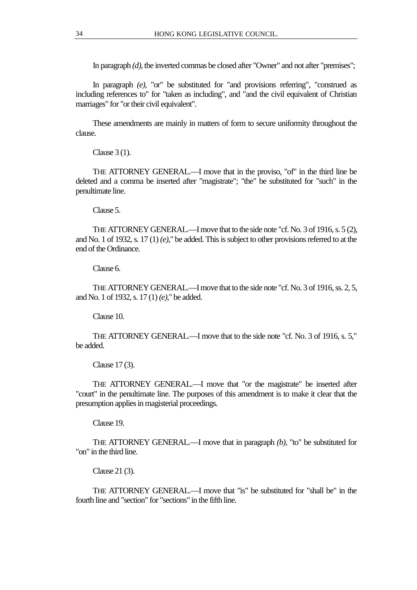In paragraph *(d)*, the inverted commas be closed after "Owner" and not after "premises";

In paragraph *(e)*, "or" be substituted for "and provisions referring", "construed as including references to" for "taken as including", and "and the civil equivalent of Christian marriages" for "or their civil equivalent".

These amendments are mainly in matters of form to secure uniformity throughout the clause.

Clause 3 (1).

THE ATTORNEY GENERAL.—I move that in the proviso, "of" in the third line be deleted and a comma be inserted after "magistrate"; "the" be substituted for "such" in the penultimate line.

Clause 5.

THE ATTORNEY GENERAL.—I move that to the side note "cf. No. 3 of 1916, s. 5 (2), and No. 1 of 1932, s. 17 (1) *(e)*," be added. This is subject to other provisions referred to at the end of the Ordinance.

Clause 6.

THE ATTORNEY GENERAL.—I move that to the side note "cf. No. 3 of 1916, ss. 2, 5, and No. 1 of 1932, s. 17 (1) *(e)*," be added.

Clause 10.

THE ATTORNEY GENERAL.—I move that to the side note "cf. No. 3 of 1916, s. 5," be added.

Clause 17 (3).

THE ATTORNEY GENERAL.—I move that "or the magistrate" be inserted after "court" in the penultimate line. The purposes of this amendment is to make it clear that the presumption applies in magisterial proceedings.

Clause 19.

THE ATTORNEY GENERAL.—I move that in paragraph *(b)*, "to" be substituted for "on" in the third line.

Clause 21 (3).

THE ATTORNEY GENERAL.—I move that "is" be substituted for "shall be" in the fourth line and "section" for "sections" in the fifth line.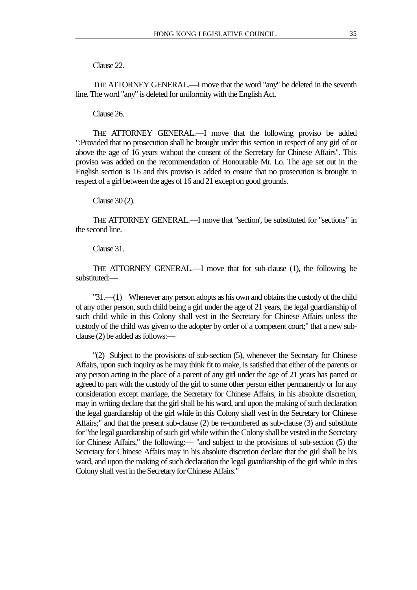# Clause 22.

THE ATTORNEY GENERAL.—I move that the word "any" be deleted in the seventh line. The word "any" is deleted for uniformity with the English Act.

#### Clause 26.

THE ATTORNEY GENERAL.—I move that the following proviso be added ":Provided that no prosecution shall be brought under this section in respect of any girl of or above the age of 16 years without the consent of the Secretary for Chinese Affairs". This proviso was added on the recommendation of Honourable Mr. Lo. The age set out in the English section is 16 and this proviso is added to ensure that no prosecution is brought in respect of a girl between the ages of 16 and 21 except on good grounds.

#### Clause 30 (2).

THE ATTORNEY GENERAL.—I move that "section', be substituted for "sections" in the second line.

# Clause 31.

THE ATTORNEY GENERAL.—I move that for sub-clause (1), the following be substituted:—

"31.—(1) Whenever any person adopts as his own and obtains the custody of the child of any other person, such child being a girl under the age of 21 years, the legal guardianship of such child while in this Colony shall vest in the Secretary for Chinese Affairs unless the custody of the child was given to the adopter by order of a competent court;" that a new subclause (2) be added as follows:—

"(2) Subject to the provisions of sub-section (5), whenever the Secretary for Chinese Affairs, upon such inquiry as he may think fit to make, is satisfied that either of the parents or any person acting in the place of a parent of any girl under the age of 21 years has parted or agreed to part with the custody of the girl to some other person either permanently or for any consideration except marriage, the Secretary for Chinese Affairs, in his absolute discretion, may in writing declare that the girl shall be his ward, and upon the making of such declaration the legal guardianship of the girl while in this Colony shall vest in the Secretary for Chinese Affairs;" and that the present sub-clause (2) be re-numbered as sub-clause (3) and substitute for "the legal guardianship of such girl while within the Colony shall be vested in the Secretary for Chinese Affairs," the following:— "and subject to the provisions of sub-section (5) the Secretary for Chinese Affairs may in his absolute discretion declare that the girl shall be his ward, and upon the making of such declaration the legal guardianship of the girl while in this Colony shall vest in the Secretary for Chinese Affairs."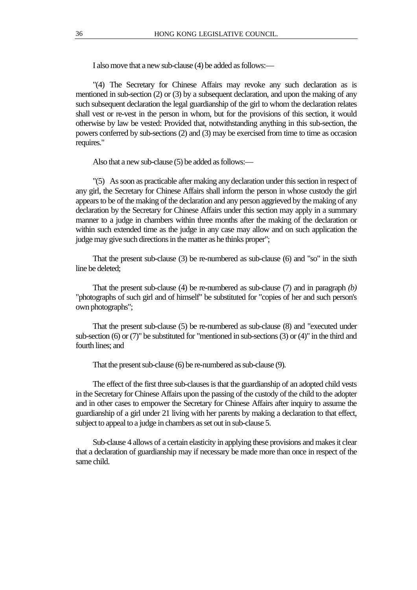I also move that a new sub-clause (4) be added as follows:—

"(4) The Secretary for Chinese Affairs may revoke any such declaration as is mentioned in sub-section (2) or (3) by a subsequent declaration, and upon the making of any such subsequent declaration the legal guardianship of the girl to whom the declaration relates shall vest or re-vest in the person in whom, but for the provisions of this section, it would otherwise by law be vested: Provided that, notwithstanding anything in this sub-section, the powers conferred by sub-sections (2) and (3) may be exercised from time to time as occasion requires."

Also that a new sub-clause (5) be added as follows:—

"(5) As soon as practicable after making any declaration under this section in respect of any girl, the Secretary for Chinese Affairs shall inform the person in whose custody the girl appears to be of the making of the declaration and any person aggrieved by the making of any declaration by the Secretary for Chinese Affairs under this section may apply in a summary manner to a judge in chambers within three months after the making of the declaration or within such extended time as the judge in any case may allow and on such application the judge may give such directions in the matter as he thinks proper";

That the present sub-clause (3) be re-numbered as sub-clause (6) and "so" in the sixth line be deleted;

That the present sub-clause (4) be re-numbered as sub-clause (7) and in paragraph *(b)* "photographs of such girl and of himself" be substituted for "copies of her and such person's own photographs";

That the present sub-clause (5) be re-numbered as sub-clause (8) and "executed under sub-section (6) or (7)" be substituted for "mentioned in sub-sections (3) or (4)" in the third and fourth lines; and

That the present sub-clause (6) be re-numbered as sub-clause (9).

The effect of the first three sub-clauses is that the guardianship of an adopted child vests in the Secretary for Chinese Affairs upon the passing of the custody of the child to the adopter and in other cases to empower the Secretary for Chinese Affairs after inquiry to assume the guardianship of a girl under 21 living with her parents by making a declaration to that effect, subject to appeal to a judge in chambers as set out in sub-clause 5.

Sub-clause 4 allows of a certain elasticity in applying these provisions and makes it clear that a declaration of guardianship may if necessary be made more than once in respect of the same child.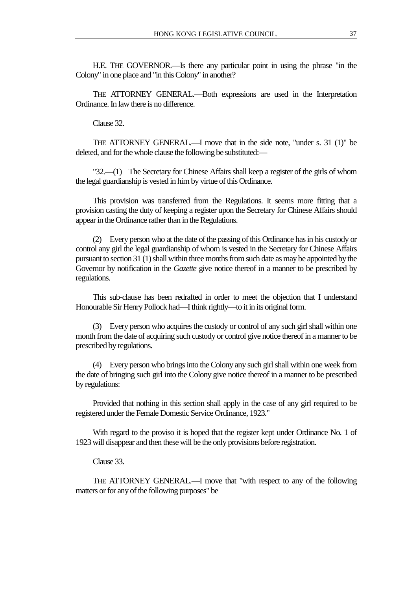H.E. THE GOVERNOR.—Is there any particular point in using the phrase "in the Colony" in one place and "in this Colony" in another?

THE ATTORNEY GENERAL.—Both expressions are used in the Interpretation Ordinance. In law there is no difference.

Clause 32.

THE ATTORNEY GENERAL.—I move that in the side note, "under s. 31 (1)" be deleted, and for the whole clause the following be substituted:—

"32.—(1) The Secretary for Chinese Affairs shall keep a register of the girls of whom the legal guardianship is vested in him by virtue of this Ordinance.

This provision was transferred from the Regulations. It seems more fitting that a provision casting the duty of keeping a register upon the Secretary for Chinese Affairs should appear in the Ordinance rather than in the Regulations.

(2) Every person who at the date of the passing of this Ordinance has in his custody or control any girl the legal guardianship of whom is vested in the Secretary for Chinese Affairs pursuant to section 31 (1) shall within three months from such date as may be appointed by the Governor by notification in the *Gazette* give notice thereof in a manner to be prescribed by regulations.

This sub-clause has been redrafted in order to meet the objection that I understand Honourable Sir Henry Pollock had—I think rightly—to it in its original form.

(3) Every person who acquires the custody or control of any such girl shall within one month from the date of acquiring such custody or control give notice thereof in a manner to be prescribed by regulations.

(4) Every person who brings into the Colony any such girl shall within one week from the date of bringing such girl into the Colony give notice thereof in a manner to be prescribed by regulations:

Provided that nothing in this section shall apply in the case of any girl required to be registered under the Female Domestic Service Ordinance, 1923."

With regard to the proviso it is hoped that the register kept under Ordinance No. 1 of 1923 will disappear and then these will be the only provisions before registration.

Clause 33.

THE ATTORNEY GENERAL.—I move that "with respect to any of the following matters or for any of the following purposes" be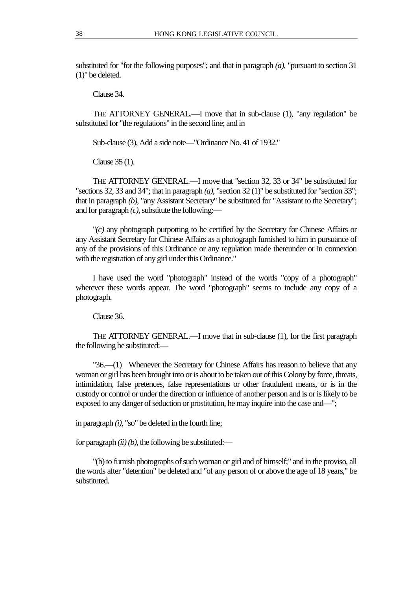substituted for "for the following purposes"; and that in paragraph *(a)*, "pursuant to section 31 (1)" be deleted.

Clause 34.

THE ATTORNEY GENERAL.—I move that in sub-clause (1), "any regulation" be substituted for "the regulations" in the second line; and in

Sub-clause (3), Add a side note—"Ordinance No. 41 of 1932."

Clause 35 (1).

THE ATTORNEY GENERAL.—I move that "section 32, 33 or 34" be substituted for "sections 32, 33 and 34"; that in paragraph *(a)*, "section 32 (1)" be substituted for "section 33"; that in paragraph *(b)*, "any Assistant Secretary" be substituted for "Assistant to the Secretary"; and for paragraph *(c)*, substitute the following:—

"*(c)* any photograph purporting to be certified by the Secretary for Chinese Affairs or any Assistant Secretary for Chinese Affairs as a photograph furnished to him in pursuance of any of the provisions of this Ordinance or any regulation made thereunder or in connexion with the registration of any girl under this Ordinance."

I have used the word "photograph" instead of the words "copy of a photograph" wherever these words appear. The word "photograph" seems to include any copy of a photograph.

Clause 36.

THE ATTORNEY GENERAL.—I move that in sub-clause (1), for the first paragraph the following be substituted:—

"36.—(1) Whenever the Secretary for Chinese Affairs has reason to believe that any woman or girl has been brought into or is about to be taken out of this Colony by force, threats, intimidation, false pretences, false representations or other fraudulent means, or is in the custody or control or under the direction or influence of another person and is or is likely to be exposed to any danger of seduction or prostitution, he may inquire into the case and—";

in paragraph *(i)*, "so" be deleted in the fourth line;

for paragraph  $(ii)$  (b), the following be substituted:—

"(b) to furnish photographs of such woman or girl and of himself;" and in the proviso, all the words after "detention" be deleted and "of any person of or above the age of 18 years," be substituted.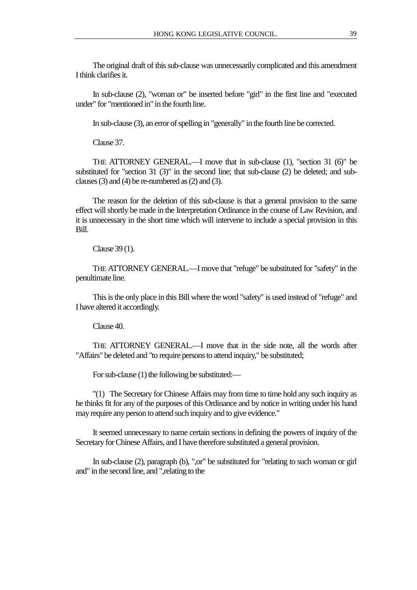The original draft of this sub-clause was unnecessarily complicated and this amendment I think clarifies it.

In sub-clause (2), "woman or" be inserted before "girl" in the first line and "executed under" for "mentioned in" in the fourth line.

In sub-clause (3), an error of spelling in "generally" in the fourth line be corrected.

Clause 37.

THE ATTORNEY GENERAL.—I move that in sub-clause (1), "section 31 (6)" be substituted for "section 31 (3)" in the second line; that sub-clause (2) be deleted; and subclauses (3) and (4) be re-numbered as (2) and (3).

The reason for the deletion of this sub-clause is that a general provision to the same effect will shortly be made in the Interpretation Ordinance in the course of Law Revision, and it is unnecessary in the short time which will intervene to include a special provision in this Bill.

Clause 39 (1).

THE ATTORNEY GENERAL.—I move that "refuge" be substituted for "safety" in the penultimate line.

This is the only place in this Bill where the word "safety" is used instead of "refuge" and I have altered it accordingly.

Clause 40.

THE ATTORNEY GENERAL.—I move that in the side note, all the words after "Affairs" be deleted and "to require persons to attend inquiry," be substituted;

For sub-clause (1) the following be substituted:—

"(1) The Secretary for Chinese Affairs may from time to time hold any such inquiry as he thinks fit for any of the purposes of this Ordinance and by notice in writing under his hand may require any person to attend such inquiry and to give evidence."

It seemed unnecessary to name certain sections in defining the powers of inquiry of the Secretary for Chinese Affairs, and I have therefore substituted a general provision.

In sub-clause (2), paragraph (b), ",or" be substituted for "relating to such woman or girl and" in the second line, and ",relating to the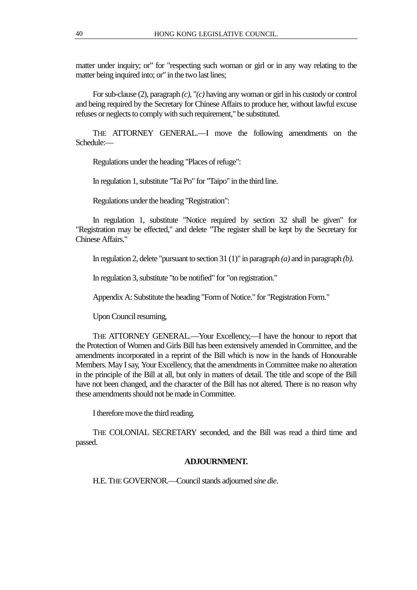matter under inquiry; or" for "respecting such woman or girl or in any way relating to the matter being inquired into; or" in the two last lines;

For sub-clause (2), paragraph *(c)*, "*(c)* having any woman or girl in his custody or control and being required by the Secretary for Chinese Affairs to produce her, without lawful excuse refuses or neglects to comply with such requirement," be substituted.

THE ATTORNEY GENERAL.—I move the following amendments on the Schedule:—

Regulations under the heading "Places of refuge":

In regulation 1, substitute "Tai Po" for "Taipo" in the third line.

Regulations under the heading "Registration":

In regulation 1, substitute "Notice required by section 32 shall be given" for "Registration may be effected," and delete "The register shall be kept by the Secretary for Chinese Affairs."

In regulation 2, delete "pursuant to section 31 (1)" in paragraph *(a)* and in paragraph *(b)*.

In regulation 3, substitute "to be notified" for "on registration."

Appendix A: Substitute the heading "Form of Notice." for "Registration Form."

Upon Council resuming,

THE ATTORNEY GENERAL.—Your Excellency,—I have the honour to report that the Protection of Women and Girls Bill has been extensively amended in Committee, and the amendments incorporated in a reprint of the Bill which is now in the hands of Honourable Members. May I say, Your Excellency, that the amendments in Committee make no alteration in the principle of the Bill at all, but only in matters of detail. The title and scope of the Bill have not been changed, and the character of the Bill has not altered. There is no reason why these amendments should not be made in Committee.

I therefore move the third reading.

THE COLONIAL SECRETARY seconded, and the Bill was read a third time and passed.

## **ADJOURNMENT.**

H.E. THE GOVERNOR.—Council stands adjourned *sine die*.